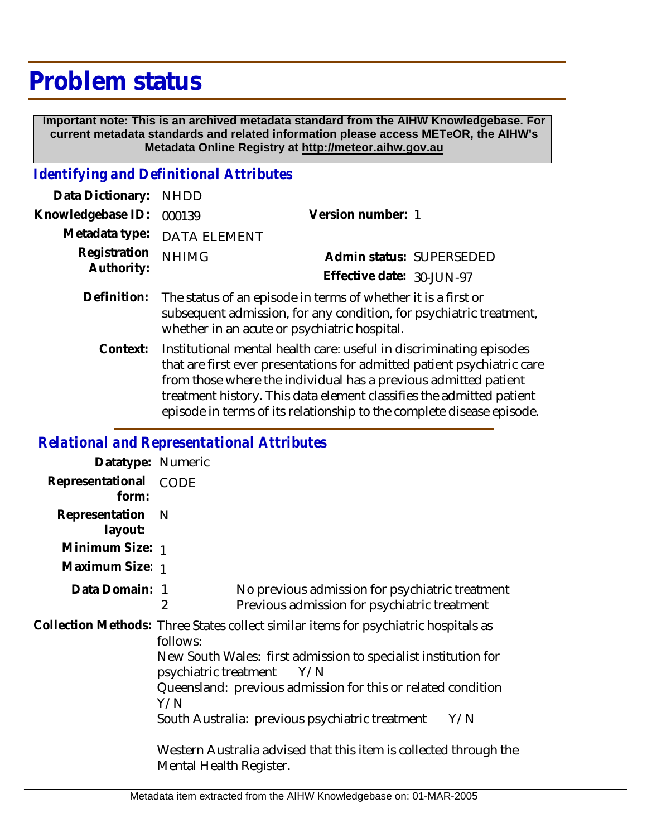## **Problem status**

 **Important note: This is an archived metadata standard from the AIHW Knowledgebase. For current metadata standards and related information please access METeOR, the AIHW's Metadata Online Registry at http://meteor.aihw.gov.au**

## *Identifying and Definitional Attributes*

| Data Dictionary: NHDD    |                             |                           |                          |
|--------------------------|-----------------------------|---------------------------|--------------------------|
| Knowledgebase ID: 000139 |                             | Version number: 1         |                          |
|                          | Metadata type: DATA ELEMENT |                           |                          |
| Registration NHIMG       |                             |                           | Admin status: SUPERSEDED |
| Authority:               |                             | Effective date: 30-JUN-97 |                          |
|                          |                             |                           |                          |

- Definition: The status of an episode in terms of whether it is a first or subsequent admission, for any condition, for psychiatric treatment, whether in an acute or psychiatric hospital.
	- Institutional mental health care: useful in discriminating episodes that are first ever presentations for admitted patient psychiatric care from those where the individual has a previous admitted patient treatment history. This data element classifies the admitted patient episode in terms of its relationship to the complete disease episode. **Context:**

## *Relational and Representational Attributes*

| Datatype: Numeric         |                                                                                                |                                                                                                 |     |  |
|---------------------------|------------------------------------------------------------------------------------------------|-------------------------------------------------------------------------------------------------|-----|--|
| Representational<br>form: | CODE                                                                                           |                                                                                                 |     |  |
| Representation<br>layout: | N                                                                                              |                                                                                                 |     |  |
| Minimum Size: 1           |                                                                                                |                                                                                                 |     |  |
| Maximum Size: 1           |                                                                                                |                                                                                                 |     |  |
| Data Domain: 1            | 2                                                                                              | No previous admission for psychiatric treatment<br>Previous admission for psychiatric treatment |     |  |
|                           | follows:                                                                                       | Collection Methods: Three States collect similar items for psychiatric hospitals as             |     |  |
|                           | New South Wales: first admission to specialist institution for<br>psychiatric treatment<br>Y/N |                                                                                                 |     |  |
|                           | Y/N                                                                                            | Queensland: previous admission for this or related condition                                    |     |  |
|                           |                                                                                                | South Australia: previous psychiatric treatment                                                 | Y/N |  |
|                           | Mental Health Register.                                                                        | Western Australia advised that this item is collected through the                               |     |  |